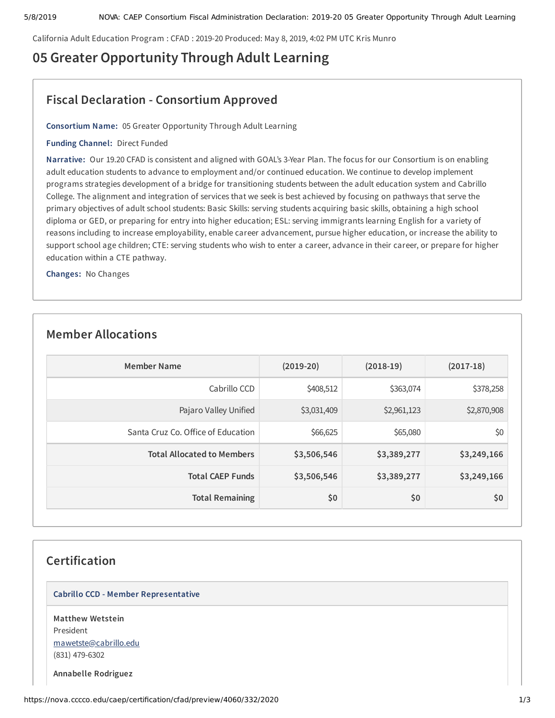California Adult Education Program : CFAD : 2019-20 Produced: May 8, 2019, 4:02 PM UTC Kris Munro

# **05 Greater Opportunity Through Adult Learning**

## **Fiscal Declaration - Consortium Approved**

**Consortium Name:** 05 Greater Opportunity Through Adult Learning

**Funding Channel:** Direct Funded

**Narrative:** Our 19.20 CFAD is consistent and aligned with GOAL's 3-Year Plan. The focus for our Consortium is on enabling adult education students to advance to employment and/or continued education. We continue to develop implement programs strategies development of a bridge for transitioning students between the adult education system and Cabrillo College. The alignment and integration of services that we seek is best achieved by focusing on pathways that serve the primary objectives of adult school students: Basic Skills: serving students acquiring basic skills, obtaining a high school diploma or GED, or preparing for entry into higher education; ESL: serving immigrants learning English for a variety of reasons including to increase employability, enable career advancement, pursue higher education, or increase the ability to support school age children; CTE: serving students who wish to enter a career, advance in their career, or prepare for higher education within a CTE pathway.

**Changes:** No Changes

### **Member Allocations**

| <b>Member Name</b>                 | $(2019-20)$ | $(2018-19)$ | $(2017-18)$ |
|------------------------------------|-------------|-------------|-------------|
| Cabrillo CCD                       | \$408,512   | \$363,074   | \$378,258   |
| Pajaro Valley Unified              | \$3,031,409 | \$2,961,123 | \$2,870,908 |
| Santa Cruz Co. Office of Education | \$66,625    | \$65,080    | \$0         |
| <b>Total Allocated to Members</b>  | \$3,506,546 | \$3,389,277 | \$3,249,166 |
| <b>Total CAEP Funds</b>            | \$3,506,546 | \$3,389,277 | \$3,249,166 |
| <b>Total Remaining</b>             | \$0         | \$0         | \$0         |

## **Certification**

#### **Cabrillo CCD - Member Representative**

**Matthew Wetstein** President [mawetste@cabrillo.edu](mailto:mawetste@cabrillo.edu) (831) 479-6302

**Annabelle Rodriguez**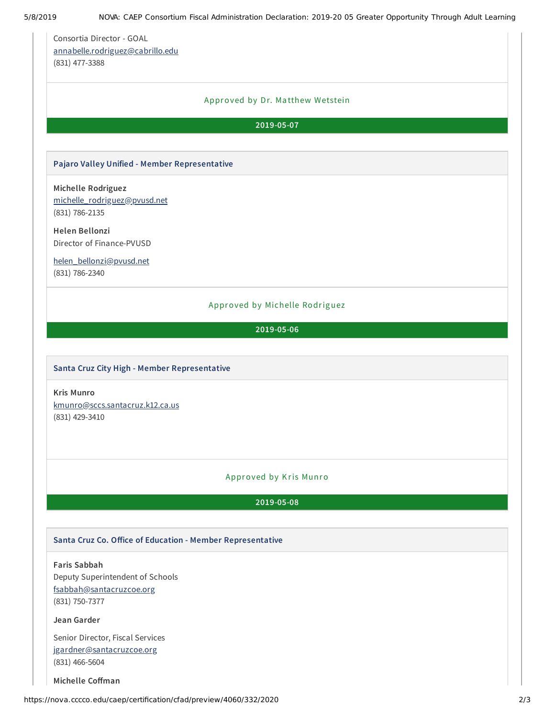Consortia Director - GOAL [annabelle.rodriguez@cabrillo.edu](mailto:annabelle.rodriguez@cabrillo.edu) (831) 477-3388

#### Approved by Dr. Ma tthew Wetstein

#### **2019-05-07**

#### **Pajaro Valley Unified - Member Representative**

**Michelle Rodriguez** [michelle\\_rodriguez@pvusd.net](mailto:michelle_rodriguez@pvusd.net) (831) 786-2135

**Helen Bellonzi** Director of Finance-PVUSD

[helen\\_bellonzi@pvusd.net](mailto:helen_bellonzi@pvusd.net) (831) 786-2340

#### Approved by Michelle Rodriguez

**2019-05-06**

#### **Santa Cruz City High - Member Representative**

**Kris Munro** [kmunro@sccs.santacruz.k12.ca.us](mailto:kmunro@sccs.santacruz.k12.ca.us) (831) 429-3410

### Approved by Kris Munro

**2019-05-08**

#### **Santa Cruz Co. Oice of Education - Member Representative**

**Faris Sabbah** Deputy Superintendent of Schools [fsabbah@santacruzcoe.org](mailto:fsabbah@santacruzcoe.org)

(831) 750-7377

#### **Jean Garder**

Senior Director, Fiscal Services [jgardner@santacruzcoe.org](mailto:jgardner@santacruzcoe.org) (831) 466-5604

**Michelle** Coffman